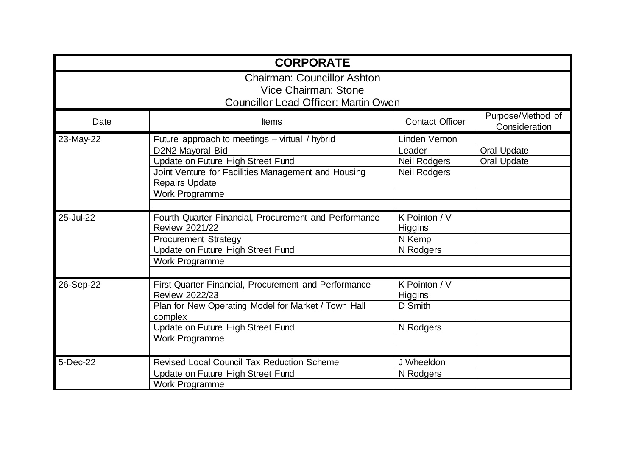|           | <b>CORPORATE</b>                                                                                          |                          |                                    |
|-----------|-----------------------------------------------------------------------------------------------------------|--------------------------|------------------------------------|
|           | <b>Chairman: Councillor Ashton</b><br>Vice Chairman: Stone<br><b>Councillor Lead Officer: Martin Owen</b> |                          |                                    |
| Date      | <b>Items</b>                                                                                              | <b>Contact Officer</b>   | Purpose/Method of<br>Consideration |
| 23-May-22 | Future approach to meetings - virtual / hybrid                                                            | Linden Vernon            |                                    |
|           | D2N2 Mayoral Bid                                                                                          | Leader                   | <b>Oral Update</b>                 |
|           | Update on Future High Street Fund                                                                         | <b>Neil Rodgers</b>      | <b>Oral Update</b>                 |
|           | Joint Venture for Facilities Management and Housing<br><b>Repairs Update</b>                              | <b>Neil Rodgers</b>      |                                    |
|           | Work Programme                                                                                            |                          |                                    |
|           |                                                                                                           |                          |                                    |
| 25-Jul-22 | Fourth Quarter Financial, Procurement and Performance<br><b>Review 2021/22</b>                            | K Pointon / V<br>Higgins |                                    |
|           | <b>Procurement Strategy</b>                                                                               | N Kemp                   |                                    |
|           | Update on Future High Street Fund                                                                         | N Rodgers                |                                    |
|           | <b>Work Programme</b>                                                                                     |                          |                                    |
|           |                                                                                                           |                          |                                    |
| 26-Sep-22 | <b>First Quarter Financial, Procurement and Performance</b><br><b>Review 2022/23</b>                      | K Pointon / V<br>Higgins |                                    |
|           | Plan for New Operating Model for Market / Town Hall<br>complex                                            | D Smith                  |                                    |
|           | Update on Future High Street Fund                                                                         | N Rodgers                |                                    |
|           | Work Programme                                                                                            |                          |                                    |
|           |                                                                                                           |                          |                                    |
| 5-Dec-22  | <b>Revised Local Council Tax Reduction Scheme</b>                                                         | J Wheeldon               |                                    |
|           | Update on Future High Street Fund                                                                         | N Rodgers                |                                    |
|           | <b>Work Programme</b>                                                                                     |                          |                                    |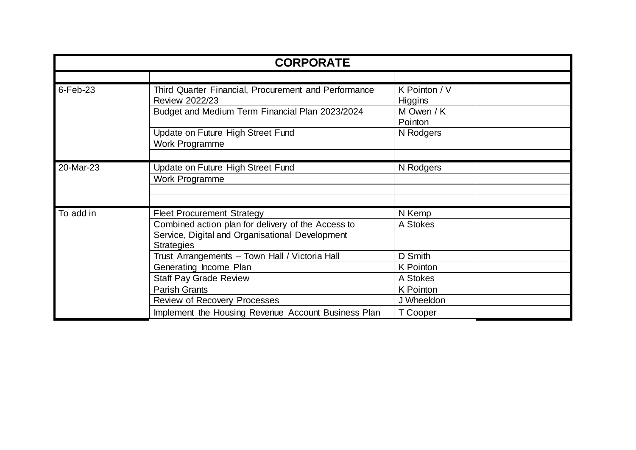|             | <b>CORPORATE</b>                                                                                                           |                                 |  |
|-------------|----------------------------------------------------------------------------------------------------------------------------|---------------------------------|--|
|             |                                                                                                                            |                                 |  |
| $6$ -Feb-23 | Third Quarter Financial, Procurement and Performance<br>Review 2022/23                                                     | K Pointon / V<br><b>Higgins</b> |  |
|             | Budget and Medium Term Financial Plan 2023/2024                                                                            | M Owen / K<br>Pointon           |  |
|             | Update on Future High Street Fund                                                                                          | N Rodgers                       |  |
|             | Work Programme                                                                                                             |                                 |  |
|             |                                                                                                                            |                                 |  |
| 20-Mar-23   | Update on Future High Street Fund                                                                                          | N Rodgers                       |  |
|             | Work Programme                                                                                                             |                                 |  |
|             |                                                                                                                            |                                 |  |
|             |                                                                                                                            |                                 |  |
| To add in   | <b>Fleet Procurement Strategy</b>                                                                                          | N Kemp                          |  |
|             | Combined action plan for delivery of the Access to<br>Service, Digital and Organisational Development<br><b>Strategies</b> | A Stokes                        |  |
|             | Trust Arrangements - Town Hall / Victoria Hall                                                                             | D Smith                         |  |
|             | Generating Income Plan                                                                                                     | K Pointon                       |  |
|             | <b>Staff Pay Grade Review</b>                                                                                              | A Stokes                        |  |
|             | <b>Parish Grants</b>                                                                                                       | <b>K</b> Pointon                |  |
|             | <b>Review of Recovery Processes</b>                                                                                        | J Wheeldon                      |  |
|             | Implement the Housing Revenue Account Business Plan                                                                        | T Cooper                        |  |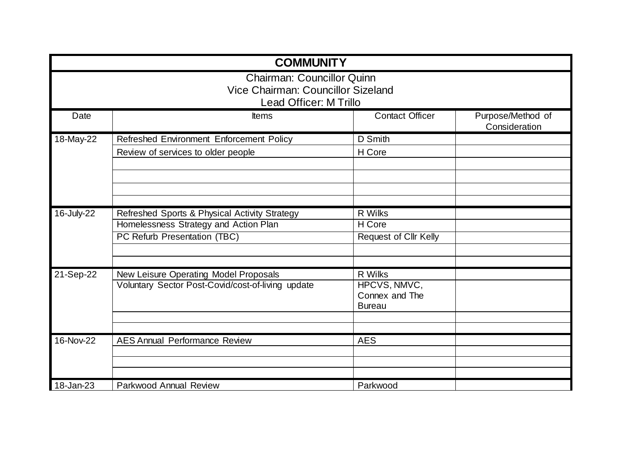|            | <b>COMMUNITY</b>                                                                                  |                                                 |                                    |
|------------|---------------------------------------------------------------------------------------------------|-------------------------------------------------|------------------------------------|
|            | <b>Chairman: Councillor Quinn</b><br>Vice Chairman: Councillor Sizeland<br>Lead Officer: M Trillo |                                                 |                                    |
| Date       | Items                                                                                             | <b>Contact Officer</b>                          | Purpose/Method of<br>Consideration |
| 18-May-22  | Refreshed Environment Enforcement Policy                                                          | D Smith                                         |                                    |
|            | Review of services to older people                                                                | H Core                                          |                                    |
|            |                                                                                                   |                                                 |                                    |
|            |                                                                                                   |                                                 |                                    |
| 16-July-22 | Refreshed Sports & Physical Activity Strategy                                                     | R Wilks                                         |                                    |
|            | Homelessness Strategy and Action Plan                                                             | H Core                                          |                                    |
|            | PC Refurb Presentation (TBC)                                                                      | <b>Request of Cllr Kelly</b>                    |                                    |
|            |                                                                                                   |                                                 |                                    |
| 21-Sep-22  | New Leisure Operating Model Proposals                                                             | R Wilks                                         |                                    |
|            | Voluntary Sector Post-Covid/cost-of-living update                                                 | HPCVS, NMVC,<br>Connex and The<br><b>Bureau</b> |                                    |
|            |                                                                                                   |                                                 |                                    |
| 16-Nov-22  | <b>AES Annual Performance Review</b>                                                              | <b>AES</b>                                      |                                    |
|            |                                                                                                   |                                                 |                                    |
|            |                                                                                                   |                                                 |                                    |
|            |                                                                                                   |                                                 |                                    |
| 18-Jan-23  | Parkwood Annual Review                                                                            | Parkwood                                        |                                    |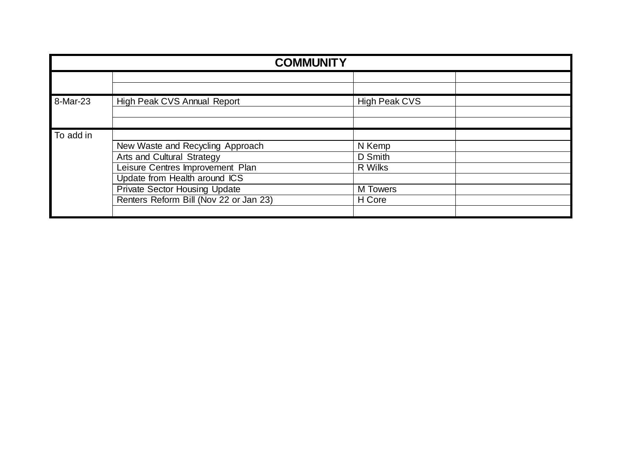|           | <b>COMMUNITY</b>                       |                      |  |
|-----------|----------------------------------------|----------------------|--|
|           |                                        |                      |  |
|           |                                        |                      |  |
| 8-Mar-23  | High Peak CVS Annual Report            | <b>High Peak CVS</b> |  |
|           |                                        |                      |  |
|           |                                        |                      |  |
| To add in |                                        |                      |  |
|           | New Waste and Recycling Approach       | N Kemp               |  |
|           | Arts and Cultural Strategy             | D Smith              |  |
|           | Leisure Centres Improvement Plan       | R Wilks              |  |
|           | Update from Health around ICS          |                      |  |
|           | <b>Private Sector Housing Update</b>   | <b>M</b> Towers      |  |
|           | Renters Reform Bill (Nov 22 or Jan 23) | H Core               |  |
|           |                                        |                      |  |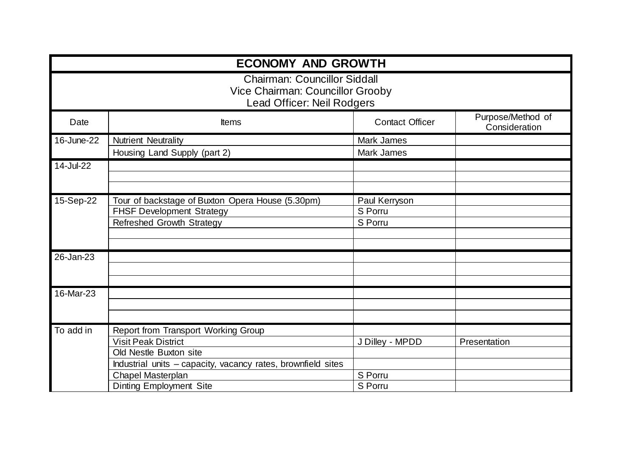|            | <b>ECONOMY AND GROWTH</b>                                                                             |                        |                                    |
|------------|-------------------------------------------------------------------------------------------------------|------------------------|------------------------------------|
|            | <b>Chairman: Councillor Siddall</b><br>Vice Chairman: Councillor Grooby<br>Lead Officer: Neil Rodgers |                        |                                    |
| Date       | <b>Items</b>                                                                                          | <b>Contact Officer</b> | Purpose/Method of<br>Consideration |
| 16-June-22 | <b>Nutrient Neutrality</b>                                                                            | <b>Mark James</b>      |                                    |
|            | Housing Land Supply (part 2)                                                                          | Mark James             |                                    |
| 14-Jul-22  |                                                                                                       |                        |                                    |
|            |                                                                                                       |                        |                                    |
|            |                                                                                                       |                        |                                    |
| 15-Sep-22  | Tour of backstage of Buxton Opera House (5.30pm)                                                      | Paul Kerryson          |                                    |
|            | <b>FHSF Development Strategy</b>                                                                      | S Porru                |                                    |
|            | Refreshed Growth Strategy                                                                             | S Porru                |                                    |
|            |                                                                                                       |                        |                                    |
|            |                                                                                                       |                        |                                    |
| 26-Jan-23  |                                                                                                       |                        |                                    |
|            |                                                                                                       |                        |                                    |
|            |                                                                                                       |                        |                                    |
| 16-Mar-23  |                                                                                                       |                        |                                    |
|            |                                                                                                       |                        |                                    |
|            |                                                                                                       |                        |                                    |
| To add in  | Report from Transport Working Group                                                                   |                        |                                    |
|            | <b>Visit Peak District</b>                                                                            | J Dilley - MPDD        | Presentation                       |
|            | Old Nestle Buxton site                                                                                |                        |                                    |
|            | Industrial units - capacity, vacancy rates, brownfield sites                                          |                        |                                    |
|            | <b>Chapel Masterplan</b>                                                                              | S Porru                |                                    |
|            | <b>Dinting Employment Site</b>                                                                        | S Porru                |                                    |